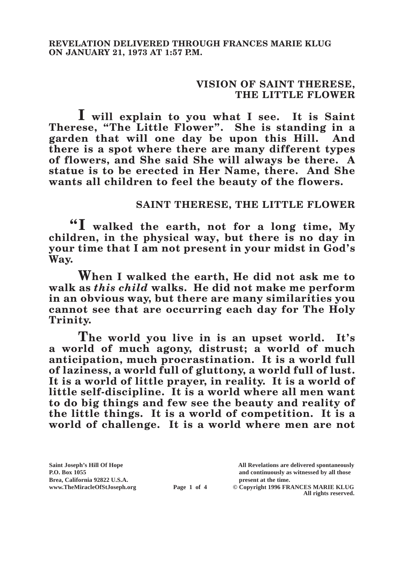## **VISION OF SAINT THERESE, THE LITTLE FLOWER**

**I will explain to you what I see. It is Saint Therese, "The Little Flower". She is standing in a garden that will one day be upon this Hill. And there is a spot where there are many different types of flowers, and She said She will always be there. A statue is to be erected in Her Name, there. And She wants all children to feel the beauty of the flowers.**

## **SAINT THERESE, THE LITTLE FLOWER**

**"I walked the earth, not for a long time, My children, in the physical way, but there is no day in your time that I am not present in your midst in God's Way.**

**When I walked the earth, He did not ask me to walk as** *this child* **walks. He did not make me perform in an obvious way, but there are many similarities you cannot see that are occurring each day for The Holy Trinity.**

**The world you live in is an upset world. It's a world of much agony, distrust; a world of much anticipation, much procrastination. It is a world full of laziness, a world full of gluttony, a world full of lust. It is a world of little prayer, in reality. It is a world of little self-discipline. It is a world where all men want to do big things and few see the beauty and reality of the little things. It is a world of competition. It is a world of challenge. It is a world where men are not** 

Brea, California 92822 U.S.A.<br>
www.TheMiracleOfStJoseph.org<br> **Page 1 of 4** © Copyright 1996 FR.

**Saint Joseph's Hill Of Hope All Revelations are delivered spontaneously P.O. Box 1055 and continuously as witnessed by all those** 

**Page 1 of 4** © Copyright 1996 FRANCES MARIE KLUG **All rights reserved.**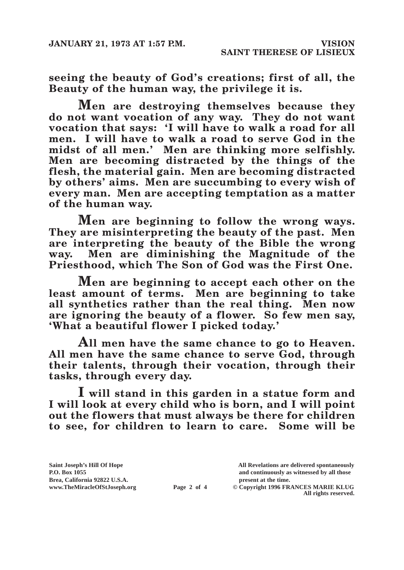**seeing the beauty of God's creations; first of all, the Beauty of the human way, the privilege it is.**

**Men are destroying themselves because they do not want vocation of any way. They do not want vocation that says: 'I will have to walk a road for all men. I will have to walk a road to serve God in the midst of all men.' Men are thinking more selfishly. Men are becoming distracted by the things of the flesh, the material gain. Men are becoming distracted by others' aims. Men are succumbing to every wish of every man. Men are accepting temptation as a matter of the human way.**

**Men are beginning to follow the wrong ways. They are misinterpreting the beauty of the past. Men are interpreting the beauty of the Bible the wrong way. Men are diminishing the Magnitude of the Priesthood, which The Son of God was the First One.**

**Men are beginning to accept each other on the least amount of terms. Men are beginning to take all synthetics rather than the real thing. Men now are ignoring the beauty of a flower. So few men say, 'What a beautiful flower I picked today.'**

**All men have the same chance to go to Heaven. All men have the same chance to serve God, through their talents, through their vocation, through their tasks, through every day.**

**I will stand in this garden in a statue form and I will look at every child who is born, and I will point out the flowers that must always be there for children to see, for children to learn to care. Some will be** 

**Brea, California 92822 U.S.A. present at the time.**<br> **Page 2 of 4** © Copyright 1996 FR.

**Saint Joseph's Hill Of Hope All Revelations are delivered spontaneously P.O. Box 1055 and continuously as witnessed by all those** 

**Page 2 of 4** © Copyright 1996 FRANCES MARIE KLUG **All rights reserved.**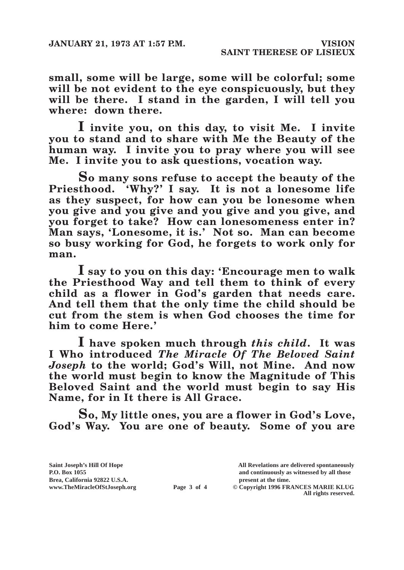**small, some will be large, some will be colorful; some will be not evident to the eye conspicuously, but they will be there. I stand in the garden, I will tell you where: down there.**

**I invite you, on this day, to visit Me. I invite you to stand and to share with Me the Beauty of the human way. I invite you to pray where you will see Me. I invite you to ask questions, vocation way.**

**So many sons refuse to accept the beauty of the Priesthood. 'Why?' I say. It is not a lonesome life as they suspect, for how can you be lonesome when you give and you give and you give and you give, and you forget to take? How can lonesomeness enter in? Man says, 'Lonesome, it is.' Not so. Man can become so busy working for God, he forgets to work only for man.**

**I say to you on this day: 'Encourage men to walk the Priesthood Way and tell them to think of every child as a flower in God's garden that needs care. And tell them that the only time the child should be cut from the stem is when God chooses the time for him to come Here.'**

**I have spoken much through** *this child***. It was I Who introduced** *The Miracle Of The Beloved Saint Joseph* **to the world; God's Will, not Mine. And now the world must begin to know the Magnitude of This Beloved Saint and the world must begin to say His Name, for in It there is All Grace.**

**So, My little ones, you are a flower in God's Love, God's Way. You are one of beauty. Some of you are** 

**Saint Joseph's Hill Of Hope All Revelations are delivered spontaneously P.O. Box 1055 and continuously as witnessed by all those**  Brea, California 92822 U.S.A.<br>
www.TheMiracleOfStJoseph.org<br> **Page 3 of 4** © Copyright 1996 FR.

**Page 3 of 4** © Copyright 1996 FRANCES MARIE KLUG

**All rights reserved.**